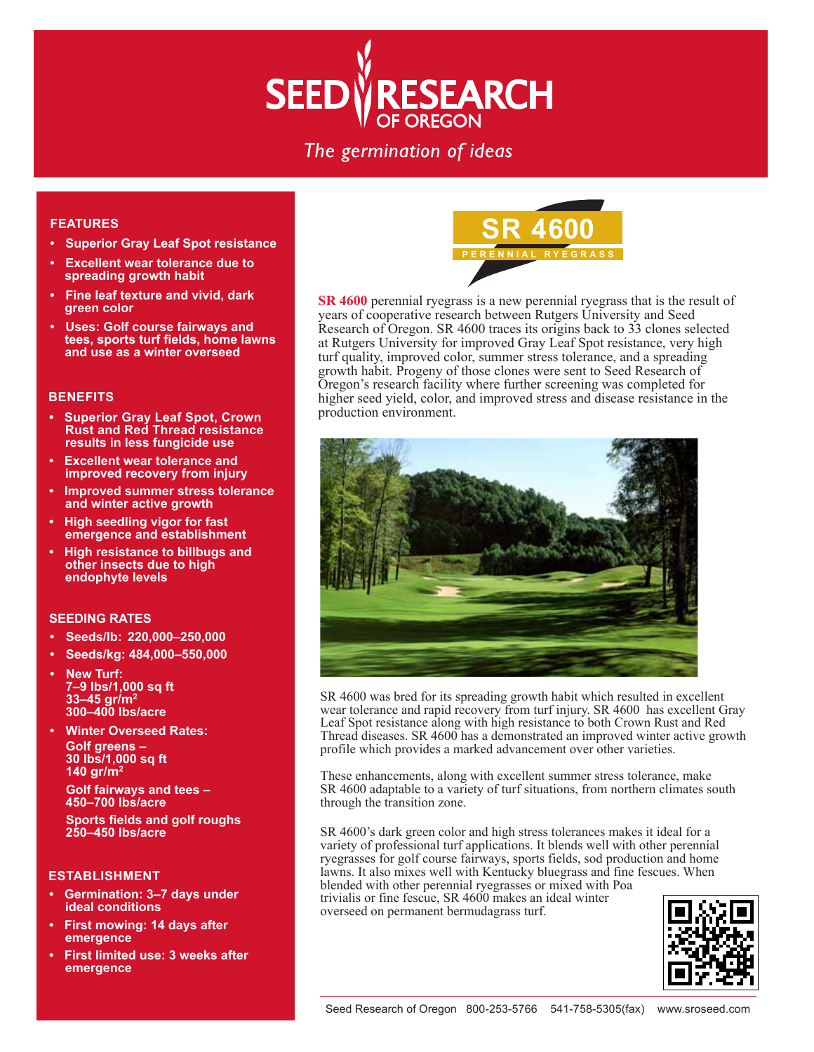# **SEED VRESEARCH**

# The germination of ideas

#### **FEATURES**

- **Superior Gray Leaf Spot resistance**
- **Excellent wear tolerance due to spreading growth habit**
- **Fine leaf texture and vivid, dark green color**
- **Uses: Golf course fairways and tees, sports turf fields, home lawns and use as a winter overseed**

#### **BENEFITS**

- **Superior Gray Leaf Spot, Crown Rust and Red Thread resistance results in less fungicide use**
- **Excellent wear tolerance and improved recovery from injury**
- **Improved summer stress tolerance and winter active growth**
- **High seedling vigor for fast emergence and establishment**
- **High resistance to billbugs and other insects due to high endophyte levels**

#### **SEEDING RATES**

- **Seeds/lb: 220,000–250,000**
- **Seeds/kg: 484,000–550,000**
- **New Turf: 7–9 lbs/1,000 sq ft 33–45 gr/m2 300–400 lbs/acre**
- **Winter Overseed Rates: Golf greens – 30 lbs/1,000 sq ft 140 gr/m2**

**Golf fairways and tees – 450–700 lbs/acre**

 **Sports fields and golf roughs 250–450 lbs/acre**

#### **ESTABLISHMENT**

- **Germination: 3–7 days under ideal conditions**
- **First mowing: 14 days after emergence**
- **First limited use: 3 weeks after emergence**



**SR 4600** perennial ryegrass is a new perennial ryegrass that is the result of years of cooperative research between Rutgers University and Seed Research of Oregon. SR 4600 traces its origins back to 33 clones selected at Rutgers University for improved Gray Leaf Spot resistance, very high turf quality, improved color, summer stress tolerance, and a spreading growth habit. Progeny of those clones were sent to Seed Research of Oregon's research facility where further screening was completed for higher seed yield, color, and improved stress and disease resistance in the production environment.



SR 4600 was bred for its spreading growth habit which resulted in excellent wear tolerance and rapid recovery from turf injury. SR 4600 has excellent Gray Leaf Spot resistance along with high resistance to both Crown Rust and Red Thread diseases. SR 4600 has a demonstrated an improved winter active growth profile which provides a marked advancement over other varieties.

These enhancements, along with excellent summer stress tolerance, make SR 4600 adaptable to a variety of turf situations, from northern climates south through the transition zone.

SR 4600's dark green color and high stress tolerances makes it ideal for a variety of professional turf applications. It blends well with other perennial ryegrasses for golf course fairways, sports fields, sod production and home lawns. It also mixes well with Kentucky bluegrass and fine fescues. When blended with other perennial ryegrasses or mixed with Poa trivialis or fine fescue, SR 4600 makes an ideal winter overseed on permanent bermudagrass turf.